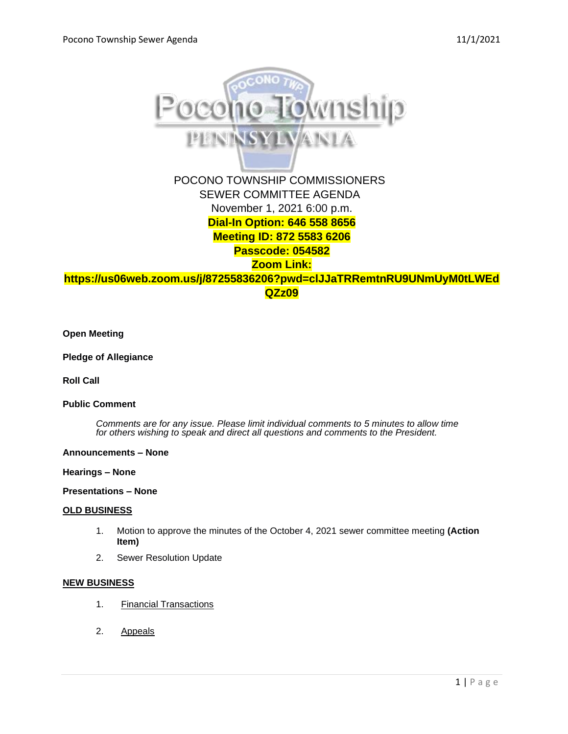

# **Passcode: 054582**

**Zoom Link:** 

**[https://us06web.zoom.us/j/87255836206?pwd=clJJaTRRemtnRU9UNmUyM0tLWEd](https://us06web.zoom.us/j/87255836206?pwd=clJJaTRRemtnRU9UNmUyM0tLWEdQZz09) [QZz09](https://us06web.zoom.us/j/87255836206?pwd=clJJaTRRemtnRU9UNmUyM0tLWEdQZz09)**

**Open Meeting**

**Pledge of Allegiance**

**Roll Call**

# **Public Comment**

*Comments are for any issue. Please limit individual comments to 5 minutes to allow time for others wishing to speak and direct all questions and comments to the President.* 

#### **Announcements – None**

#### **Hearings – None**

# **Presentations – None**

#### **OLD BUSINESS**

- 1. Motion to approve the minutes of the October 4, 2021 sewer committee meeting **(Action Item)**
- 2. Sewer Resolution Update

### **NEW BUSINESS**

- 1. Financial Transactions
- 2. Appeals